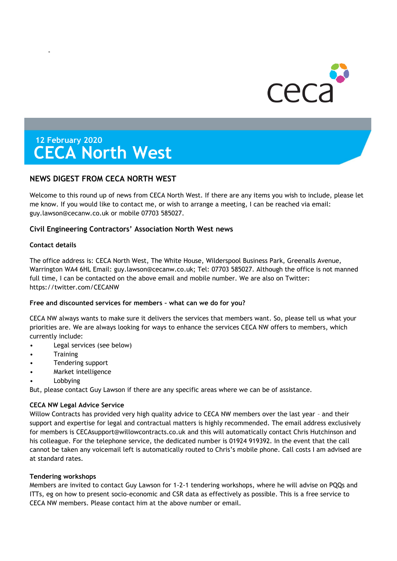

# **12 February 2020 CECA North West**

# **NEWS DIGEST FROM CECA NORTH WEST**

Welcome to this round up of news from CECA North West. If there are any items you wish to include, please let me know. If you would like to contact me, or wish to arrange a meeting, I can be reached via email: guy.lawson@cecanw.co.uk or mobile 07703 585027.

# **Civil Engineering Contractors' Association North West news**

## **Contact details**

-

The office address is: CECA North West, The White House, Wilderspool Business Park, Greenalls Avenue, Warrington WA4 6HL Email: guy.lawson@cecanw.co.uk; Tel: 07703 585027. Although the office is not manned full time, I can be contacted on the above email and mobile number. We are also on Twitter: https://twitter.com/CECANW

## **Free and discounted services for members – what can we do for you?**

CECA NW always wants to make sure it delivers the services that members want. So, please tell us what your priorities are. We are always looking for ways to enhance the services CECA NW offers to members, which currently include:

- Legal services (see below)
- **Training**
- Tendering support
- Market intelligence
- **Lobbying**

But, please contact Guy Lawson if there are any specific areas where we can be of assistance.

## **CECA NW Legal Advice Service**

Willow Contracts has provided very high quality advice to CECA NW members over the last year - and their support and expertise for legal and contractual matters is highly recommended. The email address exclusively for members is [CECAsupport@willowcontracts.co.uk](mailto:CECAsupport@willowcontracts.co.uk) and this will automatically contact Chris Hutchinson and his colleague. For the telephone service, the dedicated number is 01924 919392. In the event that the call cannot be taken any voicemail left is automatically routed to Chris's mobile phone. Call costs I am advised are at standard rates.

## **Tendering workshops**

Members are invited to contact Guy Lawson for 1-2-1 tendering workshops, where he will advise on PQQs and ITTs, eg on how to present socio-economic and CSR data as effectively as possible. This is a free service to CECA NW members. Please contact him at the above number or email.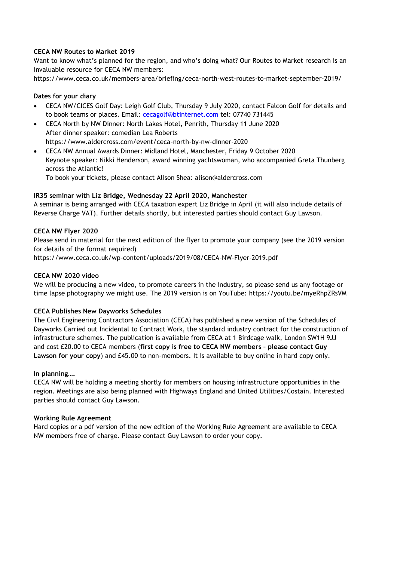## **CECA NW Routes to Market 2019**

Want to know what's planned for the region, and who's doing what? Our Routes to Market research is an invaluable resource for CECA NW members:

<https://www.ceca.co.uk/members-area/briefing/ceca-north-west-routes-to-market-september-2019/>

## **Dates for your diary**

- CECA NW/CICES Golf Day: Leigh Golf Club, Thursday 9 July 2020, contact Falcon Golf for details and to book teams or places. Email: [cecagolf@btinternet.com](mailto:cecagolf@btinternet.com) tel: 07740 731445
- CECA North by NW Dinner: North Lakes Hotel, Penrith, Thursday 11 June 2020 After dinner speaker: comedian Lea Roberts https://www.aldercross.com/event/ceca-north-by-nw-dinner-2020
- CECA NW Annual Awards Dinner: Midland Hotel, Manchester, Friday 9 October 2020 Keynote speaker: Nikki Henderson, award winning yachtswoman, who accompanied Greta Thunberg across the Atlantic!

To book your tickets, please contact Alison Shea: alison@aldercross.com

## **IR35 seminar with Liz Bridge, Wednesday 22 April 2020, Manchester**

A seminar is being arranged with CECA taxation expert Liz Bridge in April (it will also include details of Reverse Charge VAT). Further details shortly, but interested parties should contact Guy Lawson.

## **CECA NW Flyer 2020**

Please send in material for the next edition of the flyer to promote your company (see the 2019 version for details of the format required)

https://www.ceca.co.uk/wp-content/uploads/2019/08/CECA-NW-Flyer-2019.pdf

## **CECA NW 2020 video**

We will be producing a new video, to promote careers in the industry, so please send us any footage or time lapse photography we might use. The 2019 version is on YouTube: https://youtu.be/myeRhpZRsVM

# **CECA Publishes New Dayworks Schedules**

The Civil Engineering Contractors Association (CECA) has published a new version of the Schedules of Dayworks Carried out Incidental to Contract Work, the standard industry contract for the construction of infrastructure schemes. The publication is available from CECA at 1 Birdcage walk, London SW1H 9JJ and cost £20.00 to CECA members (**first copy is free to CECA NW members – please contact Guy Lawson for your copy**) and £45.00 to non-members. It is available to buy online in hard copy only.

## **In planning….**

CECA NW will be holding a meeting shortly for members on housing infrastructure opportunities in the region. Meetings are also being planned with Highways England and United Utilities/Costain. Interested parties should contact Guy Lawson.

## **Working Rule Agreement**

Hard copies or a pdf version of the new edition of the Working Rule Agreement are available to CECA NW members free of charge. Please contact Guy Lawson to order your copy.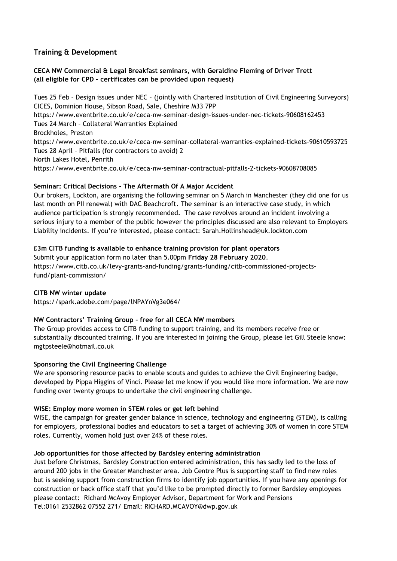# **Training & Development**

# **CECA NW Commercial & Legal Breakfast seminars, with Geraldine Fleming of Driver Trett (all eligible for CPD – certificates can be provided upon request)**

Tues 25 Feb – Design issues under NEC – (jointly with Chartered Institution of Civil Engineering Surveyors) CICES, Dominion House, Sibson Road, Sale, Cheshire M33 7PP https://www.eventbrite.co.uk/e/ceca-nw-seminar-design-issues-under-nec-tickets-90608162453 Tues 24 March – Collateral Warranties Explained Brockholes, Preston https://www.eventbrite.co.uk/e/ceca-nw-seminar-collateral-warranties-explained-tickets-90610593725 Tues 28 April – Pitfalls (for contractors to avoid) 2 North Lakes Hotel, Penrith https://www.eventbrite.co.uk/e/ceca-nw-seminar-contractual-pitfalls-2-tickets-90608708085

# **Seminar: Critical Decisions - The Aftermath Of A Major Accident**

Our brokers, Lockton, are organising the following seminar on 5 March in Manchester (they did one for us last month on PII renewal) with DAC Beachcroft. The seminar is an interactive case study, in which audience participation is strongly recommended. The case revolves around an incident involving a serious injury to a member of the public however the principles discussed are also relevant to Employers Liability incidents. If you're interested, please contact: Sarah.Hollinshead@uk.lockton.com

## **£3m CITB funding is available to enhance training provision for plant operators**

Submit your application form no later than 5.00pm **Friday 28 February 2020**. https://www.citb.co.uk/levy-grants-and-funding/grants-funding/citb-commissioned-projectsfund/plant-commission/

## **CITB NW winter update**

https://spark.adobe.com/page/lNPAYnVg3e064/

# **NW Contractors' Training Group – free for all CECA NW members**

The Group provides access to CITB funding to support training, and its members receive free or substantially discounted training. If you are interested in joining the Group, please let Gill Steele know: [mgtpsteele@hotmail.co.uk](mailto:mgtpsteele@hotmail.co.uk)

## **Sponsoring the Civil Engineering Challenge**

We are sponsoring resource packs to enable scouts and guides to achieve the Civil Engineering badge, developed by Pippa Higgins of Vinci. Please let me know if you would like more information. We are now funding over twenty groups to undertake the civil engineering challenge.

## **WISE: Employ more women in STEM roles or get left behind**

WISE, the campaign for greater gender balance in science, technology and engineering (STEM), is calling for employers, professional bodies and educators to set a target of achieving 30% of women in core STEM roles. Currently, women hold just over 24% of these roles.

## **Job opportunities for those affected by Bardsley entering administration**

Just before Christmas, Bardsley Construction entered administration, this has sadly led to the loss of around 200 jobs in the Greater Manchester area. Job Centre Plus is supporting staff to find new roles but is seeking support from construction firms to identify job opportunities. If you have any openings for construction or back office staff that you'd like to be prompted directly to former Bardsley employees please contact: Richard McAvoy Employer Advisor, Department for Work and Pensions Tel:0161 2532862 07552 271/ Email: RICHARD.MCAVOY@dwp.gov.uk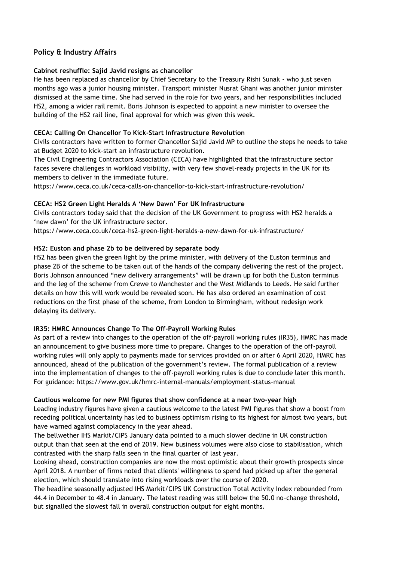# **Policy & Industry Affairs**

## **Cabinet reshuffle: Sajid Javid resigns as chancellor**

He has been replaced as chancellor by Chief Secretary to the Treasury Rishi Sunak - who just seven months ago was a junior housing minister. Transport minister Nusrat Ghani was another junior minister dismissed at the same time. She had served in the role for two years, and her responsibilities included HS2, among a wider rail remit. Boris Johnson is expected to appoint a new minister to oversee the building of the HS2 rail line, final approval for which was given this week.

## **CECA: Calling On Chancellor To Kick-Start Infrastructure Revolution**

Civils contractors have written to former Chancellor Sajid Javid MP to outline the steps he needs to take at Budget 2020 to kick-start an infrastructure revolution.

The Civil Engineering Contractors Association (CECA) have highlighted that the infrastructure sector faces severe challenges in workload visibility, with very few shovel-ready projects in the UK for its members to deliver in the immediate future.

https://www.ceca.co.uk/ceca-calls-on-chancellor-to-kick-start-infrastructure-revolution/

## **CECA: HS2 Green Light Heralds A 'New Dawn' For UK Infrastructure**

Civils contractors today said that the decision of the UK Government to progress with HS2 heralds a 'new dawn' for the UK infrastructure sector.

https://www.ceca.co.uk/ceca-hs2-green-light-heralds-a-new-dawn-for-uk-infrastructure/

## **HS2: Euston and phase 2b to be delivered by separate body**

HS2 has been given the green light by the prime minister, with delivery of the Euston terminus and phase 2B of the scheme to be taken out of the hands of the company delivering the rest of the project. Boris Johnson announced "new delivery arrangements" will be drawn up for both the Euston terminus and the leg of the scheme from Crewe to Manchester and the West Midlands to Leeds. He said further details on how this will work would be revealed soon. He has also ordered an examination of cost reductions on the first phase of the scheme, from London to Birmingham, without redesign work delaying its delivery.

# **IR35: HMRC Announces Change To The Off-Payroll Working Rules**

As part of a review into changes to the operation of the off-payroll working rules (IR35), HMRC has made an announcement to give business more time to prepare. Changes to the operation of the off-payroll working rules will only apply to payments made for services provided on or after 6 April 2020, HMRC has announced, ahead of the publication of the government's review. The formal publication of a review into the implementation of changes to the off-payroll working rules is due to conclude later this month. For guidance: https://www.gov.uk/hmrc-internal-manuals/employment-status-manual

## **Cautious welcome for new PMI figures that show confidence at a near two-year high**

Leading industry figures have given a cautious welcome to the latest PMI figures that show a boost from receding political uncertainty has led to business optimism rising to its highest for almost two years, but have warned against complacency in the year ahead.

The bellwether IHS Markit/CIPS January data pointed to a much slower decline in UK construction output than that seen at the end of 2019. New business volumes were also close to stabilisation, which contrasted with the sharp falls seen in the final quarter of last year.

Looking ahead, construction companies are now the most optimistic about their growth prospects since April 2018. A number of firms noted that clients' willingness to spend had picked up after the general election, which should translate into rising workloads over the course of 2020.

The headline seasonally adjusted IHS Markit/CIPS UK Construction Total Activity Index rebounded from 44.4 in December to 48.4 in January. The latest reading was still below the 50.0 no-change threshold, but signalled the slowest fall in overall construction output for eight months.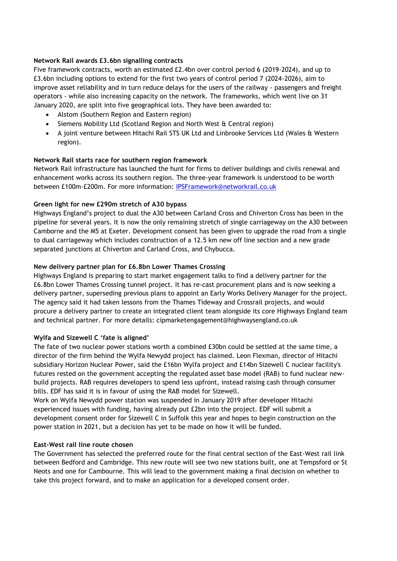## **Network Rail awards £3.6bn signalling contracts**

Five framework contracts, worth an estimated £2.4bn over control period 6 (2019-2024), and up to £3.6bn including options to extend for the first two years of control period 7 (2024-2026), aim to improve asset reliability and in turn reduce delays for the users of the railway - passengers and freight operators - while also increasing capacity on the network. The frameworks, which went live on 31 January 2020, are split into five geographical lots. They have been awarded to:

- Alstom (Southern Region and Eastern region)
- Siemens Mobility Ltd (Scotland Region and North West & Central region)
- A joint venture between Hitachi Rail STS UK Ltd and Linbrooke Services Ltd (Wales & Western region).

## **Network Rail starts race for southern region framework**

Network Rail infrastructure has launched the hunt for firms to deliver buildings and civils renewal and enhancement works across its southern region. The three-year framework is understood to be worth between £100m-£200m. For more information: [IPSFramework@networkrail.co.uk](mailto:IPSFramework@networkrail.co.uk)

## **Green light for new £290m stretch of A30 bypass**

Highways England's project to dual the A30 between Carland Cross and Chiverton Cross has been in the pipeline for several years. It is now the only remaining stretch of single carriageway on the A30 between Camborne and the M5 at Exeter. Development consent has been given to upgrade the road from a single to dual carriageway which includes construction of a 12.5 km new off line section and a new grade separated junctions at Chiverton and Carland Cross, and Chybucca.

## **New delivery partner plan for £6.8bn Lower Thames Crossing**

Highways England is preparing to start market engagement talks to find a delivery partner for the £6.8bn Lower Thames Crossing tunnel project. It has re-cast procurement plans and is now seeking a delivery partner, superseding previous plans to appoint an Early Works Delivery Manager for the project. The agency said it had taken lessons from the Thames Tideway and Crossrail projects, and would procure a delivery partner to create an integrated client team alongside its core Highways England team and technical partner. For more details: cipmarketengagement@highwaysengland.co.uk

## **Wylfa and Sizewell C 'fate is aligned'**

The fate of two nuclear power stations worth a combined £30bn could be settled at the same time, a director of the firm behind the Wylfa Newydd project has claimed. Leon Flexman, director of Hitachi subsidiary Horizon Nuclear Power, said the £16bn Wylfa project and £14bn Sizewell C nuclear facility's futures rested on the government accepting the regulated asset base model (RAB) to fund nuclear newbuild projects. RAB requires developers to spend less upfront, instead raising cash through consumer bills. EDF has said it is in favour of using the RAB model for Sizewell.

Work on Wylfa Newydd power station was suspended in January 2019 after developer Hitachi experienced issues with funding, having already put £2bn into the project. EDF will submit a development consent order for Sizewell C in Suffolk this year and hopes to begin construction on the power station in 2021, but a decision has yet to be made on how it will be funded.

## **East-West rail line route chosen**

The Government has selected the preferred route for the final central section of the East-West rail link between Bedford and Cambridge. This new route will see two new stations built, one at Tempsford or St Neots and one for Cambourne. This will lead to the government making a final decision on whether to take this project forward, and to make an application for a developed consent order.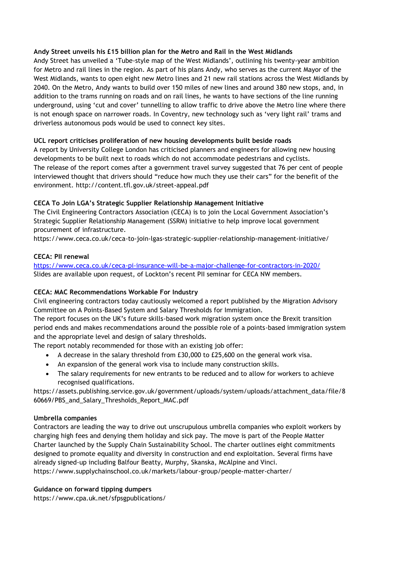## **Andy Street unveils his £15 billion plan for the Metro and Rail in the West Midlands**

Andy Street has unveiled a 'Tube-style map of the West Midlands', outlining his twenty-year ambition for Metro and rail lines in the region. As part of his plans Andy, who serves as the current Mayor of the West Midlands, wants to open eight new Metro lines and 21 new rail stations across the West Midlands by 2040. On the Metro, Andy wants to build over 150 miles of new lines and around 380 new stops, and, in addition to the trams running on roads and on rail lines, he wants to have sections of the line running underground, using 'cut and cover' tunnelling to allow traffic to drive above the Metro line where there is not enough space on narrower roads. In Coventry, new technology such as 'very light rail' trams and driverless autonomous pods would be used to connect key sites.

# **UCL report criticises proliferation of new housing developments built beside roads**

A report by University College London has criticised planners and engineers for allowing new housing developments to be built next to roads which do not accommodate pedestrians and cyclists. The release of the report comes after a government travel survey suggested that 76 per cent of people interviewed thought that drivers should "reduce how much they use their cars" for the benefit of the environment. http://content.tfl.gov.uk/street-appeal.pdf

# **CECA To Join LGA's Strategic Supplier Relationship Management Initiative**

The Civil Engineering Contractors Association (CECA) is to join the Local Government Association's Strategic Supplier Relationship Management (SSRM) initiative to help improve local government procurement of infrastructure.

https://www.ceca.co.uk/ceca-to-join-lgas-strategic-supplier-relationship-management-initiative/

## **CECA: PII renewal**

<https://www.ceca.co.uk/ceca-pi-insurance-will-be-a-major-challenge-for-contractors-in-2020/> Slides are available upon request, of Lockton's recent PII seminar for CECA NW members.

# **CECA: MAC Recommendations Workable For Industry**

Civil engineering contractors today cautiously welcomed a report published by the Migration Advisory Committee on A Points-Based System and Salary Thresholds for Immigration.

The report focuses on the UK's future skills-based work migration system once the Brexit transition period ends and makes recommendations around the possible role of a points-based immigration system and the appropriate level and design of salary thresholds.

The report notably recommended for those with an existing job offer:

- A decrease in the salary threshold from £30,000 to £25,600 on the general work visa.
- An expansion of the general work visa to include many construction skills.
- The salary requirements for new entrants to be reduced and to allow for workers to achieve recognised qualifications.

https://assets.publishing.service.gov.uk/government/uploads/system/uploads/attachment\_data/file/8 60669/PBS\_and\_Salary\_Thresholds\_Report\_MAC.pdf

## **Umbrella companies**

Contractors are leading the way to drive out unscrupulous umbrella companies who exploit workers by charging high fees and denying them holiday and sick pay. The move is part of the People Matter Charter launched by the Supply Chain Sustainability School. The charter outlines eight commitments designed to promote equality and diversity in construction and end exploitation. Several firms have already signed-up including Balfour Beatty, Murphy, Skanska, McAlpine and Vinci. https://www.supplychainschool.co.uk/markets/labour-group/people-matter-charter/

## **Guidance on forward tipping dumpers**

https://www.cpa.uk.net/sfpsgpublications/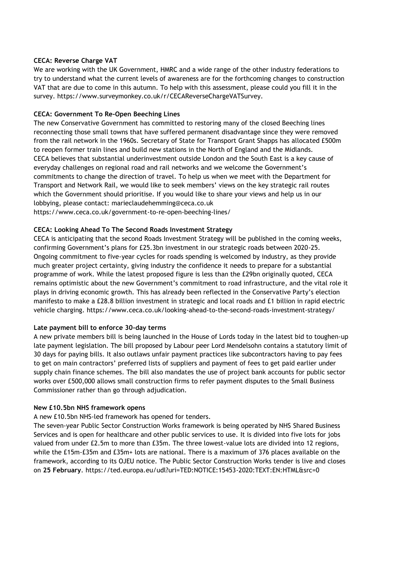## **CECA: Reverse Charge VAT**

We are working with the UK Government, HMRC and a wide range of the other industry federations to try to understand what the current levels of awareness are for the forthcoming changes to construction VAT that are due to come in this autumn. To help with this assessment, please could you fill it in the survey. https://www.surveymonkey.co.uk/r/CECAReverseChargeVATSurvey.

## **CECA: Government To Re-Open Beeching Lines**

The new Conservative Government has committed to restoring many of the closed Beeching lines reconnecting those small towns that have suffered permanent disadvantage since they were removed from the rail network in the 1960s. Secretary of State for Transport Grant Shapps has allocated £500m to reopen former train lines and build new stations in the North of England and the Midlands. CECA believes that substantial underinvestment outside London and the South East is a key cause of everyday challenges on regional road and rail networks and we welcome the Government's commitments to change the direction of travel. To help us when we meet with the Department for Transport and Network Rail, we would like to seek members' views on the key strategic rail routes which the Government should prioritise. If you would like to share your views and help us in our lobbying, please contact: marieclaudehemming@ceca.co.uk

https://www.ceca.co.uk/government-to-re-open-beeching-lines/

## **CECA: Looking Ahead To The Second Roads Investment Strategy**

CECA is anticipating that the second Roads Investment Strategy will be published in the coming weeks, confirming Government's plans for £25.3bn investment in our strategic roads between 2020-25. Ongoing commitment to five-year cycles for roads spending is welcomed by industry, as they provide much greater project certainty, giving industry the confidence it needs to prepare for a substantial programme of work. While the latest proposed figure is less than the £29bn originally quoted, CECA remains optimistic about the new Government's commitment to road infrastructure, and the vital role it plays in driving economic growth. This has already been reflected in the Conservative Party's election manifesto to make a £28.8 billion investment in strategic and local roads and £1 billion in rapid electric vehicle charging. https://www.ceca.co.uk/looking-ahead-to-the-second-roads-investment-strategy/

## **Late payment bill to enforce 30-day terms**

A new private members bill is being launched in the House of Lords today in the latest bid to toughen-up late payment legislation. The bill proposed by Labour peer Lord Mendelsohn contains a statutory limit of 30 days for paying bills. It also outlaws unfair payment practices like subcontractors having to pay fees to get on main contractors' preferred lists of suppliers and payment of fees to get paid earlier under supply chain finance schemes. The bill also mandates the use of project bank accounts for public sector works over £500,000 allows small construction firms to refer payment disputes to the Small Business Commissioner rather than go through adjudication.

## **New £10.5bn NHS framework opens**

A new £10.5bn NHS-led framework has opened for tenders.

The seven-year Public Sector Construction Works framework is being operated by NHS Shared Business Services and is open for healthcare and other public services to use. It is divided into five lots for jobs valued from under £2.5m to more than £35m. The three lowest-value lots are divided into 12 regions, while the £15m-£35m and £35m+ lots are national. There is a maximum of 376 places available on the framework, according to its OJEU notice. The Public Sector Construction Works tender is live and closes on **25 February**. https://ted.europa.eu/udl?uri=TED:NOTICE:15453-2020:TEXT:EN:HTML&src=0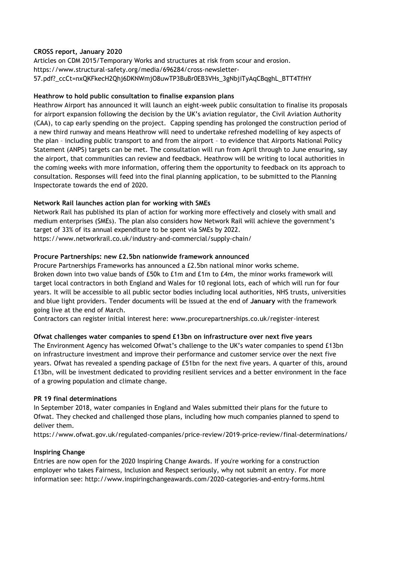## **CROSS report, January 2020**

Articles on CDM 2015/Temporary Works and structures at risk from scour and erosion. https://www.structural-safety.org/media/696284/cross-newsletter-57.pdf?\_ccCt=nxQKFkecH2Qhj6DKNWmjO8uwTP3BuBr0EB3VHs\_3gNbjiTyAqCBqghL\_BTT4TfHY

## **Heathrow to hold public consultation to finalise expansion plans**

Heathrow Airport has announced it will launch an eight-week public consultation to finalise its proposals for airport expansion following the decision by the UK's aviation regulator, the Civil Aviation Authority (CAA), to cap early spending on the project. Capping spending has prolonged the construction period of a new third runway and means Heathrow will need to undertake refreshed modelling of key aspects of the plan – including public transport to and from the airport – to evidence that Airports National Policy Statement (ANPS) targets can be met. The consultation will run from April through to June ensuring, say the airport, that communities can review and feedback. Heathrow will be writing to local authorities in the coming weeks with more information, offering them the opportunity to feedback on its approach to consultation. Responses will feed into the final planning application, to be submitted to the Planning Inspectorate towards the end of 2020.

## **Network Rail launches action plan for working with SMEs**

Network Rail has published its plan of action for working more effectively and closely with small and medium enterprises (SMEs). The plan also considers how Network Rail will achieve the government's target of 33% of its annual expenditure to be spent via SMEs by 2022. https://www.networkrail.co.uk/industry-and-commercial/supply-chain/

## **Procure Partnerships: new £2.5bn nationwide framework announced**

Procure Partnerships Frameworks has announced a £2.5bn national minor works scheme. Broken down into two value bands of £50k to £1m and £1m to £4m, the minor works framework will target local contractors in both England and Wales for 10 regional lots, each of which will run for four years. It will be accessible to all public sector bodies including local authorities, NHS trusts, universities and blue light providers. Tender documents will be issued at the end of **January** with the framework going live at the end of March.

Contractors can register initial interest here: www.procurepartnerships.co.uk/register-interest

# **Ofwat challenges water companies to spend £13bn on infrastructure over next five years**

The Environment Agency has welcomed Ofwat's challenge to the UK's water companies to spend £13bn on infrastructure investment and improve their performance and customer service over the next five years. Ofwat has revealed a spending package of £51bn for the next five years. A quarter of this, around £13bn, will be investment dedicated to providing resilient services and a better environment in the face of a growing population and climate change.

## **PR 19 final determinations**

In September 2018, water companies in England and Wales submitted their plans for the future to Ofwat. They checked and challenged those plans, including how much companies planned to spend to deliver them.

<https://www.ofwat.gov.uk/regulated-companies/price-review/2019-price-review/final-determinations/>

# **Inspiring Change**

Entries are now open for the 2020 Inspiring Change Awards. If you're working for a construction employer who takes Fairness, Inclusion and Respect seriously, why not submit an entry. For more information see: http://www.inspiringchangeawards.com/2020-categories-and-entry-forms.html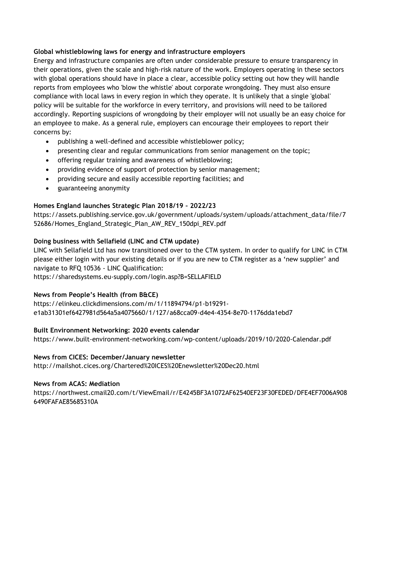## **Global whistleblowing laws for energy and infrastructure employers**

Energy and infrastructure companies are often under considerable pressure to ensure transparency in their operations, given the scale and high-risk nature of the work. Employers operating in these sectors with global operations should have in place a clear, accessible policy setting out how they will handle reports from employees who 'blow the whistle' about corporate wrongdoing. They must also ensure compliance with local laws in every region in which they operate. It is unlikely that a single 'global' policy will be suitable for the workforce in every territory, and provisions will need to be tailored accordingly. Reporting suspicions of wrongdoing by their employer will not usually be an easy choice for an employee to make. As a general rule, employers can encourage their employees to report their concerns by:

- publishing a well-defined and accessible whistleblower policy;
- presenting clear and regular communications from senior management on the topic;
- offering regular training and awareness of whistleblowing;
- providing evidence of support of protection by senior management;
- providing secure and easily accessible reporting facilities; and
- guaranteeing anonymity

# **Homes England launches Strategic Plan 2018/19 – 2022/23**

[https://assets.publishing.service.gov.uk/government/uploads/system/uploads/attachment\\_data/file/7](https://assets.publishing.service.gov.uk/government/uploads/system/uploads/attachment_data/file/752686/Homes_England_Strategic_Plan_AW_REV_150dpi_REV.pdf) [52686/Homes\\_England\\_Strategic\\_Plan\\_AW\\_REV\\_150dpi\\_REV.pdf](https://assets.publishing.service.gov.uk/government/uploads/system/uploads/attachment_data/file/752686/Homes_England_Strategic_Plan_AW_REV_150dpi_REV.pdf)

# **Doing business with Sellafield (LINC and CTM update)**

LINC with Sellafield Ltd has now transitioned over to the CTM system. In order to qualify for LINC in CTM please either login with your existing details or if you are new to CTM register as a 'new supplier' and navigate to RFQ 10536 - LINC Qualification:

<https://sharedsystems.eu-supply.com/login.asp?B=SELLAFIELD>

# **News from People's Health (from B&CE)**

[https://elinkeu.clickdimensions.com/m/1/11894794/p1-b19291](https://elinkeu.clickdimensions.com/m/1/11894794/p1-b19291-e1ab31301ef6427981d564a5a4075660/1/127/a68cca09-d4e4-4354-8e70-1176dda1ebd7) [e1ab31301ef6427981d564a5a4075660/1/127/a68cca09-d4e4-4354-8e70-1176dda1ebd7](https://elinkeu.clickdimensions.com/m/1/11894794/p1-b19291-e1ab31301ef6427981d564a5a4075660/1/127/a68cca09-d4e4-4354-8e70-1176dda1ebd7)

# **Built Environment Networking: 2020 events calendar**

<https://www.built-environment-networking.com/wp-content/uploads/2019/10/2020-Calendar.pdf>

## **News from CICES: December/January newsletter**

http://mailshot.cices.org/Chartered%20ICES%20Enewsletter%20Dec20.html

## **News from ACAS: Mediation**

https://northwest.cmail20.com/t/ViewEmail/r/E4245BF3A1072AF62540EF23F30FEDED/DFE4EF7006A908 6490FAFAE85685310A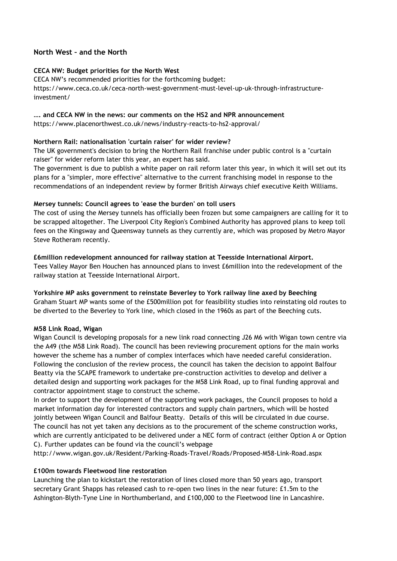## **North West – and the North**

## **CECA NW: Budget priorities for the North West**

CECA NW's recommended priorities for the forthcoming budget: https://www.ceca.co.uk/ceca-north-west-government-must-level-up-uk-through-infrastructureinvestment/

#### **…. and CECA NW in the news: our comments on the HS2 and NPR announcement**

https://www.placenorthwest.co.uk/news/industry-reacts-to-hs2-approval/

## **Northern Rail: nationalisation 'curtain raiser' for wider review?**

The UK government's decision to bring the Northern Rail franchise under public control is a "curtain raiser" for wider reform later this year, an expert has said.

The government is due to publish a white paper on rail reform later this year, in which it will set out its plans for a "simpler, more effective" alternative to the current franchising model in response to the recommendations of an independent review by former British Airways chief executive Keith Williams.

## **Mersey tunnels: Council agrees to 'ease the burden' on toll users**

The cost of using the Mersey tunnels has officially been frozen but some campaigners are calling for it to be scrapped altogether. The Liverpool City Region's Combined Authority has approved plans to keep toll fees on the Kingsway and Queensway tunnels as they currently are, which was proposed by Metro Mayor Steve Rotheram recently.

#### **£6million redevelopment announced for railway station at Teesside International Airport.**

Tees Valley Mayor Ben Houchen has announced plans to invest £6million into the redevelopment of the railway station at Teesside International Airport.

#### **Yorkshire MP asks government to reinstate Beverley to York railway line axed by Beeching**

Graham Stuart MP wants some of the £500million pot for feasibility studies into reinstating old routes to be diverted to the Beverley to York line, which closed in the 1960s as part of the Beeching cuts.

## **M58 Link Road, Wigan**

Wigan Council is developing proposals for a new link road connecting J26 M6 with Wigan town centre via the A49 (the M58 Link Road). The council has been reviewing procurement options for the main works however the scheme has a number of complex interfaces which have needed careful consideration. Following the conclusion of the review process, the council has taken the decision to appoint Balfour Beatty via the SCAPE framework to undertake pre-construction activities to develop and deliver a detailed design and supporting work packages for the M58 Link Road, up to final funding approval and contractor appointment stage to construct the scheme.

In order to support the development of the supporting work packages, the Council proposes to hold a market information day for interested contractors and supply chain partners, which will be hosted jointly between Wigan Council and Balfour Beatty. Details of this will be circulated in due course. The council has not yet taken any decisions as to the procurement of the scheme construction works, which are currently anticipated to be delivered under a NEC form of contract (either Option A or Option C). Further updates can be found via the council's webpage

http://www.wigan.gov.uk/Resident/Parking-Roads-Travel/Roads/Proposed-M58-Link-Road.aspx

## **£100m towards Fleetwood line restoration**

Launching the plan to kickstart the restoration of lines closed more than 50 years ago, transport secretary Grant Shapps has released cash to re-open two lines in the near future: £1.5m to the Ashington-Blyth-Tyne Line in Northumberland, and £100,000 to the Fleetwood line in Lancashire.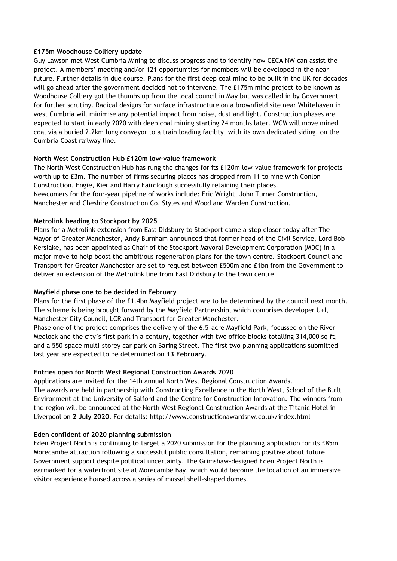## **£175m Woodhouse Colliery update**

Guy Lawson met West Cumbria Mining to discuss progress and to identify how CECA NW can assist the project. A members' meeting and/or 121 opportunities for members will be developed in the near future. Further details in due course. Plans for the first deep coal mine to be built in the UK for decades will go ahead after the government decided not to intervene. The £175m mine project to be known as Woodhouse Colliery got the thumbs up from the local council in May but was called in by Government for further scrutiny. Radical designs for surface infrastructure on a brownfield site near Whitehaven in west Cumbria will minimise any potential impact from noise, dust and light. Construction phases are expected to start in early 2020 with deep coal mining starting 24 months later. WCM will move mined coal via a buried 2.2km long conveyor to a train loading facility, with its own dedicated siding, on the Cumbria Coast railway line.

## **North West Construction Hub £120m low-value framework**

The North West Construction Hub has rung the changes for its £120m low-value framework for projects worth up to £3m. The number of firms securing places has dropped from 11 to nine with Conlon Construction, Engie, Kier and Harry Fairclough successfully retaining their places. Newcomers for the four-year pipeline of works include: Eric Wright, John Turner Construction, Manchester and Cheshire Construction Co, Styles and Wood and Warden Construction.

## **Metrolink heading to Stockport by 2025**

Plans for a Metrolink extension from East Didsbury to Stockport came a step closer today after The Mayor of Greater Manchester, Andy Burnham announced that former head of the Civil Service, Lord Bob Kerslake, has been appointed as Chair of the Stockport Mayoral Development Corporation (MDC) in a major move to help boost the ambitious regeneration plans for the town centre. Stockport Council and Transport for Greater Manchester are set to request between £500m and £1bn from the Government to deliver an extension of the Metrolink line from East Didsbury to the town centre.

## **Mayfield phase one to be decided in February**

Plans for the first phase of the £1.4bn Mayfield project are to be determined by the council next month. The scheme is being brought forward by the Mayfield Partnership, which comprises developer U+I, Manchester City Council, LCR and Transport for Greater Manchester.

Phase one of the project comprises the delivery of the 6.5-acre Mayfield Park, focussed on the River Medlock and the city's first park in a century, together with two office blocks totalling 314,000 sq ft, and a 550-space multi-storey car park on Baring Street. The first two planning applications submitted last year are expected to be determined on **13 February**.

## **Entries open for North West Regional Construction Awards 2020**

Applications are invited for the 14th annual North West Regional Construction Awards. The awards are held in partnership with Constructing Excellence in the North West, School of the Built Environment at the University of Salford and the Centre for Construction Innovation. The winners from the region will be announced at the North West Regional Construction Awards at the Titanic Hotel in Liverpool on **2 July 2020**. For details: http://www.constructionawardsnw.co.uk/index.html

# **Eden confident of 2020 planning submission**

Eden Project North is continuing to target a 2020 submission for the planning application for its £85m Morecambe attraction following a successful public consultation, remaining positive about future Government support despite political uncertainty. The Grimshaw-designed Eden Project North is earmarked for a waterfront site at Morecambe Bay, which would become the location of an immersive visitor experience housed across a series of mussel shell-shaped domes.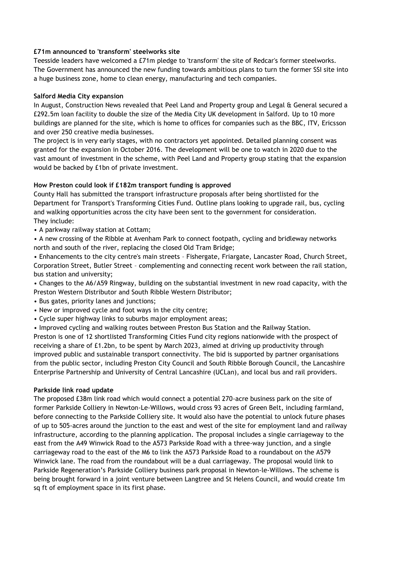## **£71m announced to 'transform' steelworks site**

Teesside leaders have welcomed a £71m pledge to 'transform' the site of Redcar's former steelworks. The Government has announced the new funding towards ambitious plans to turn the former SSI site into a huge business zone, home to clean energy, manufacturing and tech companies.

## **Salford Media City expansion**

In August, Construction News revealed that Peel Land and Property group and Legal & General secured a £292.5m loan facility to double the size of the Media City UK development in Salford. Up to 10 more buildings are planned for the site, which is home to offices for companies such as the BBC, ITV, Ericsson and over 250 creative media businesses.

The project is in very early stages, with no contractors yet appointed. Detailed planning consent was granted for the expansion in October 2016. The development will be one to watch in 2020 due to the vast amount of investment in the scheme, with Peel Land and Property group stating that the expansion would be backed by £1bn of private investment.

## **How Preston could look if £182m transport funding is approved**

County Hall has submitted the transport infrastructure proposals after being shortlisted for the Department for Transport's Transforming Cities Fund. Outline plans looking to upgrade rail, bus, cycling and walking opportunities across the city have been sent to the government for consideration. They include:

• A parkway railway station at Cottam;

• A new crossing of the Ribble at Avenham Park to connect footpath, cycling and bridleway networks north and south of the river, replacing the closed Old Tram Bridge;

• Enhancements to the city centre's main streets – Fishergate, Friargate, Lancaster Road, Church Street, Corporation Street, Butler Street – complementing and connecting recent work between the rail station, bus station and university;

• Changes to the A6/A59 Ringway, building on the substantial investment in new road capacity, with the Preston Western Distributor and South Ribble Western Distributor;

- Bus gates, priority lanes and junctions;
- New or improved cycle and foot ways in the city centre;
- Cycle super highway links to suburbs major employment areas;

• Improved cycling and walking routes between Preston Bus Station and the Railway Station.

Preston is one of 12 shortlisted Transforming Cities Fund city regions nationwide with the prospect of receiving a share of £1.2bn, to be spent by March 2023, aimed at driving up productivity through improved public and sustainable transport connectivity. The bid is supported by partner organisations from the public sector, including Preston City Council and South Ribble Borough Council, the Lancashire Enterprise Partnership and University of Central Lancashire (UCLan), and local bus and rail providers.

## **Parkside link road update**

The proposed £38m link road which would connect a potential 270-acre business park on the site of former Parkside Colliery in Newton-Le-Willows, would cross 93 acres of Green Belt, including farmland, before connecting to the Parkside Colliery site. It would also have the potential to unlock future phases of up to 505-acres around the junction to the east and west of the site for employment land and railway infrastructure, according to the planning application. The proposal includes a single carriageway to the east from the A49 Winwick Road to the A573 Parkside Road with a three-way junction, and a single carriageway road to the east of the M6 to link the A573 Parkside Road to a roundabout on the A579 Winwick lane. The road from the roundabout will be a dual carriageway. The proposal would link to Parkside Regeneration's Parkside Colliery business park proposal in Newton-le-Willows. The scheme is being brought forward in a joint venture between Langtree and St Helens Council, and would create 1m sq ft of employment space in its first phase.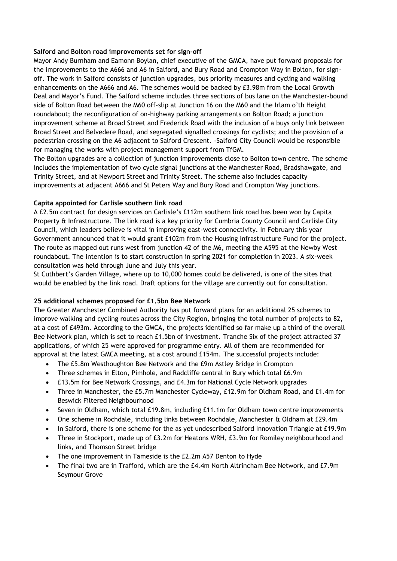## **Salford and Bolton road improvements set for sign-off**

Mayor Andy Burnham and Eamonn Boylan, chief executive of the GMCA, have put forward proposals for the improvements to the A666 and A6 in Salford, and Bury Road and Crompton Way in Bolton, for signoff. The work in Salford consists of junction upgrades, bus priority measures and cycling and walking enhancements on the A666 and A6. The schemes would be backed by £3.98m from the Local Growth Deal and Mayor's Fund. The Salford scheme includes three sections of bus lane on the Manchester-bound side of Bolton Road between the M60 off-slip at Junction 16 on the M60 and the Irlam o'th Height roundabout; the reconfiguration of on-highway parking arrangements on Bolton Road; a junction improvement scheme at Broad Street and Frederick Road with the inclusion of a buys only link between Broad Street and Belvedere Road, and segregated signalled crossings for cyclists; and the provision of a pedestrian crossing on the A6 adjacent to Salford Crescent. -Salford City Council would be responsible for managing the works with project management support from TfGM.

The Bolton upgrades are a collection of junction improvements close to Bolton town centre. The scheme includes the implementation of two cycle signal junctions at the Manchester Road, Bradshawgate, and Trinity Street, and at Newport Street and Trinity Street. The scheme also includes capacity improvements at adjacent A666 and St Peters Way and Bury Road and Crompton Way junctions.

## **Capita appointed for Carlisle southern link road**

A £2.5m contract for design services on Carlisle's £112m southern link road has been won by Capita Property & Infrastructure. The link road is a key priority for Cumbria County Council and Carlisle City Council, which leaders believe is vital in improving east-west connectivity. In February this year Government announced that it would grant £102m from the Housing Infrastructure Fund for the project. The route as mapped out runs west from junction 42 of the M6, meeting the A595 at the Newby West roundabout. The intention is to start construction in spring 2021 for completion in 2023. A six-week consultation was held through June and July this year.

St Cuthbert's Garden Village, where up to 10,000 homes could be delivered, is one of the sites that would be enabled by the link road. Draft options for the village are currently out for consultation.

## **25 additional schemes proposed for £1.5bn Bee Network**

The Greater Manchester Combined Authority has put forward plans for an additional 25 schemes to improve walking and cycling routes across the City Region, bringing the total number of projects to 82, at a cost of £493m. According to the GMCA, the projects identified so far make up a third of the overall Bee Network plan, which is set to reach £1.5bn of investment. Tranche Six of the project attracted 37 applications, of which 25 were approved for programme entry. All of them are recommended for approval at the latest GMCA meeting, at a cost around £154m. The successful projects include:

- The £5.8m Westhoughton Bee Network and the £9m Astley Bridge in Crompton
- Three schemes in Elton, Pimhole, and Radcliffe central in Bury which total £6.9m
- £13.5m for Bee Network Crossings, and £4.3m for National Cycle Network upgrades
- Three in Manchester, the £5.7m Manchester Cycleway, £12.9m for Oldham Road, and £1.4m for Beswick Filtered Neighbourhood
- Seven in Oldham, which total £19.8m, including £11.1m for Oldham town centre improvements
- One scheme in Rochdale, including links between Rochdale, Manchester & Oldham at £29.4m
- In Salford, there is one scheme for the as yet undescribed Salford Innovation Triangle at £19.9m
- Three in Stockport, made up of £3.2m for Heatons WRH, £3.9m for Romiley neighbourhood and links, and Thomson Street bridge
- The one improvement in Tameside is the £2.2m A57 Denton to Hyde
- The final two are in Trafford, which are the £4.4m North Altrincham Bee Network, and £7.9m Seymour Grove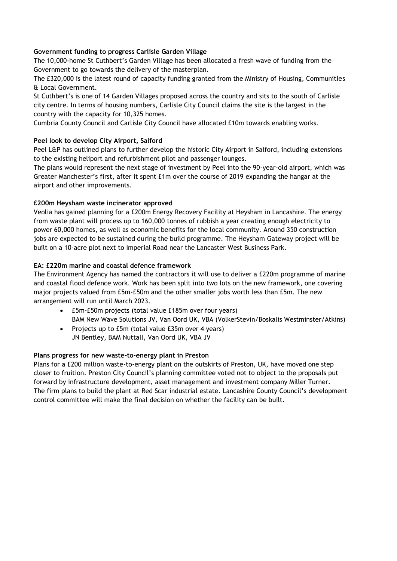# **Government funding to progress Carlisle Garden Village**

The 10,000-home St Cuthbert's Garden Village has been allocated a fresh wave of funding from the Government to go towards the delivery of the masterplan.

The £320,000 is the latest round of capacity funding granted from the Ministry of Housing, Communities & Local Government.

St Cuthbert's is one of 14 Garden Villages proposed across the country and sits to the south of Carlisle city centre. In terms of housing numbers, Carlisle City Council claims the site is the largest in the country with the capacity for 10,325 homes.

Cumbria County Council and Carlisle City Council have allocated £10m towards enabling works.

# **Peel look to develop City Airport, Salford**

Peel L&P has outlined plans to further develop the historic City Airport in Salford, including extensions to the existing heliport and refurbishment pilot and passenger lounges.

The plans would represent the next stage of investment by Peel into the 90-year-old airport, which was Greater Manchester's first, after it spent £1m over the course of 2019 expanding the hangar at the airport and other improvements.

# **£200m Heysham waste incinerator approved**

Veolia has gained planning for a £200m Energy Recovery Facility at Heysham in Lancashire. The energy from waste plant will process up to 160,000 tonnes of rubbish a year creating enough electricity to power 60,000 homes, as well as economic benefits for the local community. Around 350 construction jobs are expected to be sustained during the build programme. The Heysham Gateway project will be built on a 10-acre plot next to Imperial Road near the Lancaster West Business Park.

# **EA: £220m marine and coastal defence framework**

The Environment Agency has named the contractors it will use to deliver a £220m programme of marine and coastal flood defence work. Work has been split into two lots on the new framework, one covering major projects valued from £5m-£50m and the other smaller jobs worth less than £5m. The new arrangement will run until March 2023.

- £5m-£50m projects (total value £185m over four years) BAM New Wave Solutions JV, Van Oord UK, VBA (VolkerStevin/Boskalis Westminster/Atkins)
- Projects up to £5m (total value £35m over 4 years) JN Bentley, BAM Nuttall, Van Oord UK, VBA JV

# **Plans progress for new waste-to-energy plant in Preston**

Plans for a £200 million waste-to-energy plant on the outskirts of Preston, UK, have moved one step closer to fruition. Preston City Council's planning committee voted not to object to the proposals put forward by infrastructure development, asset management and investment company Miller Turner. The firm plans to build the plant at Red Scar industrial estate. Lancashire County Council's development control committee will make the final decision on whether the facility can be built.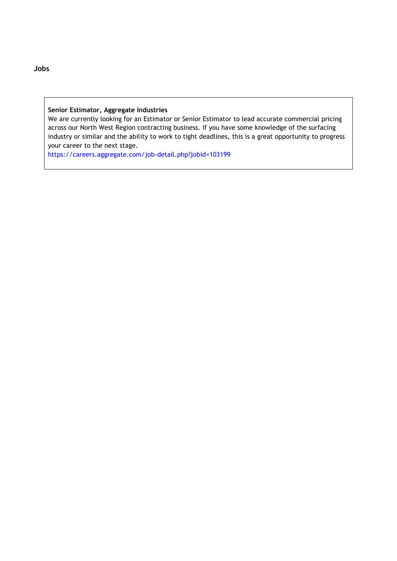## **Senior Estimator, Aggregate Industries**

We are currently looking for an Estimator or Senior Estimator to lead accurate commercial pricing across our North West Region contracting business. If you have some knowledge of the surfacing industry or similar and the ability to work to tight deadlines, this is a great opportunity to progress your career to the next stage.

<https://careers.aggregate.com/job-detail.php?jobid=103199>

**Jobs**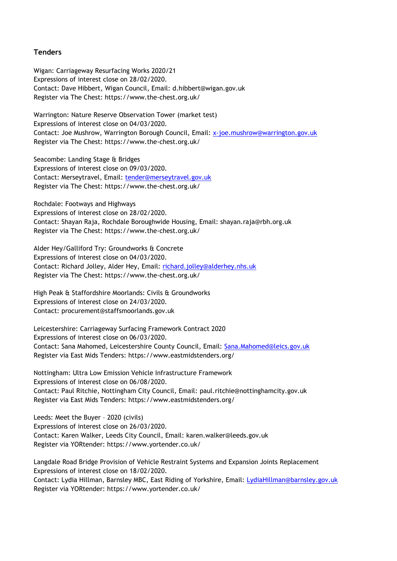## **Tenders**

Wigan: Carriageway Resurfacing Works 2020/21 Expressions of interest close on 28/02/2020. Contact: Dave Hibbert, Wigan Council, Email: d.hibbert@wigan.gov.uk Register via The Chest: https://www.the-chest.org.uk/

Warrington: Nature Reserve Observation Tower (market test) Expressions of interest close on 04/03/2020. Contact: Joe Mushrow, Warrington Borough Council, Email: [x-joe.mushrow@warrington.gov.uk](mailto:x-joe.mushrow@warrington.gov.uk) Register via The Chest: https://www.the-chest.org.uk/

Seacombe: Landing Stage & Bridges Expressions of interest close on 09/03/2020. Contact: Merseytravel, Email: [tender@merseytravel.gov.uk](mailto:tender@merseytravel.gov.uk) Register via The Chest: https://www.the-chest.org.uk/

Rochdale: Footways and Highways Expressions of interest close on 28/02/2020. Contact: Shayan Raja, Rochdale Boroughwide Housing, Email: shayan.raja@rbh.org.uk Register via The Chest: https://www.the-chest.org.uk/

Alder Hey/Galliford Try: Groundworks & Concrete Expressions of interest close on 04/03/2020. Contact: Richard Jolley, Alder Hey, Email: [richard.jolley@alderhey.nhs.uk](mailto:richard.jolley@alderhey.nhs.uk) Register via The Chest: https://www.the-chest.org.uk/

High Peak & Staffordshire Moorlands: Civils & Groundworks Expressions of interest close on 24/03/2020. Contact: procurement@staffsmoorlands.gov.uk

Leicestershire: Carriageway Surfacing Framework Contract 2020 Expressions of interest close on 06/03/2020. Contact: Sana Mahomed, Leicestershire County Council, Email: [Sana.Mahomed@leics.gov.uk](mailto:Sana.Mahomed@leics.gov.uk) Register via East Mids Tenders: https://www.eastmidstenders.org/

Nottingham: Ultra Low Emission Vehicle Infrastructure Framework Expressions of interest close on 06/08/2020. Contact: Paul Ritchie, Nottingham City Council, Email: [paul.ritchie@nottinghamcity.gov.uk](mailto:paul.ritchie@nottinghamcity.gov.uk) Register via East Mids Tenders:<https://www.eastmidstenders.org/>

Leeds: Meet the Buyer – 2020 (civils) Expressions of interest close on 26/03/2020. Contact: Karen Walker, Leeds City Council, Email: karen.walker@leeds.gov.uk Register via YORtender: https://www.yortender.co.uk/

Langdale Road Bridge Provision of Vehicle Restraint Systems and Expansion Joints Replacement Expressions of interest close on 18/02/2020. Contact: Lydia Hillman, Barnsley MBC, East Riding of Yorkshire, Email: [LydiaHillman@barnsley.gov.uk](mailto:LydiaHillman@barnsley.gov.uk) Register via YORtender: https://www.yortender.co.uk/